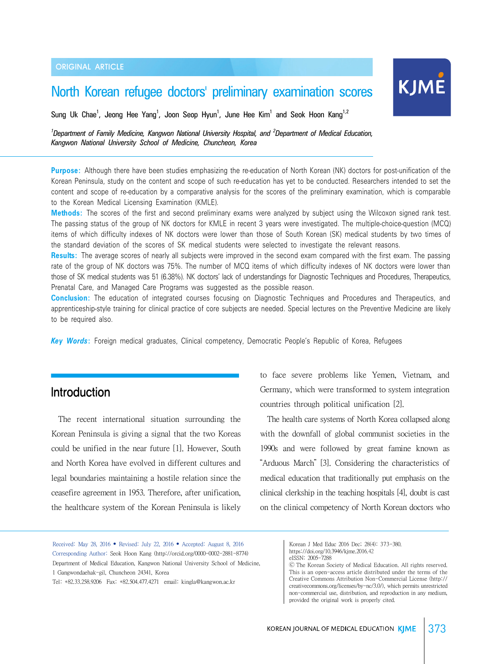# North Korean refugee doctors' preliminary examination scores

Sung Uk Chae<sup>1</sup>, Jeong Hee Yang<sup>1</sup>, Joon Seop Hyun<sup>1</sup>, June Hee Kim<sup>1</sup> and Seok Hoon Kang<sup>1,2</sup>

<sup>1</sup> Department of Family Medicine, Kangwon National University Hospital, and <sup>2</sup> Department of Medical Education, *Kangwon National University School of Medicine, Chuncheon, Korea*

**Purpose:** Although there have been studies emphasizing the re-education of North Korean (NK) doctors for post-unification of the Korean Peninsula, study on the content and scope of such re-education has yet to be conducted. Researchers intended to set the content and scope of re-education by a comparative analysis for the scores of the preliminary examination, which is comparable to the Korean Medical Licensing Examination (KMLE).

**Methods:** The scores of the first and second preliminary exams were analyzed by subject using the Wilcoxon signed rank test. The passing status of the group of NK doctors for KMLE in recent 3 years were investigated. The multiple-choice-question (MCQ) items of which difficulty indexes of NK doctors were lower than those of South Korean (SK) medical students by two times of the standard deviation of the scores of SK medical students were selected to investigate the relevant reasons.

**Results:** The average scores of nearly all subjects were improved in the second exam compared with the first exam. The passing rate of the group of NK doctors was 75%. The number of MCQ items of which difficulty indexes of NK doctors were lower than those of SK medical students was 51 (6.38%). NK doctors' lack of understandings for Diagnostic Techniques and Procedures, Therapeutics, Prenatal Care, and Managed Care Programs was suggested as the possible reason.

**Conclusion:** The education of integrated courses focusing on Diagnostic Techniques and Procedures and Therapeutics, and apprenticeship-style training for clinical practice of core subjects are needed. Special lectures on the Preventive Medicine are likely to be required also.

*Key Words***:** Foreign medical graduates, Clinical competency, Democratic People's Republic of Korea, Refugees

## Introduction

 The recent international situation surrounding the Korean Peninsula is giving a signal that the two Koreas could be unified in the near future [1]. However, South and North Korea have evolved in different cultures and legal boundaries maintaining a hostile relation since the ceasefire agreement in 1953. Therefore, after unification, the healthcare system of the Korean Peninsula is likely

to face severe problems like Yemen, Vietnam, and Germany, which were transformed to system integration countries through political unification [2].

KJME

 The health care systems of North Korea collapsed along with the downfall of global communist societies in the 1990s and were followed by great famine known as "Arduous March" [3]. Considering the characteristics of medical education that traditionally put emphasis on the clinical clerkship in the teaching hospitals [4], doubt is cast on the clinical competency of North Korean doctors who

Received: May 28, 2016 • Revised: July 22, 2016 • Accepted: August 8, 2016 Corresponding Author: Seok Hoon Kang (http://orcid.org/0000-0002-2881-8774) Department of Medical Education, Kangwon National University School of Medicine, 1 Gangwondaehak-gil, Chuncheon 24341, Korea

Tel: +82.33.258.9206 Fax: +82.504.477.4271 email: kingla@kangwon.ac.kr

Korean J Med Educ 2016 Dec; 28(4): 373-380. https://doi.org/10.3946/kjme.2016.42

eISSN: 2005-7288

<sup>Ⓒ</sup> The Korean Society of Medical Education. All rights reserved. This is an open-access article distributed under the terms of the Creative Commons Attribution Non-Commercial License (http:// creativecommons.org/licenses/by-nc/3.0/), which permits unrestricted non-commercial use, distribution, and reproduction in any medium, provided the original work is properly cited.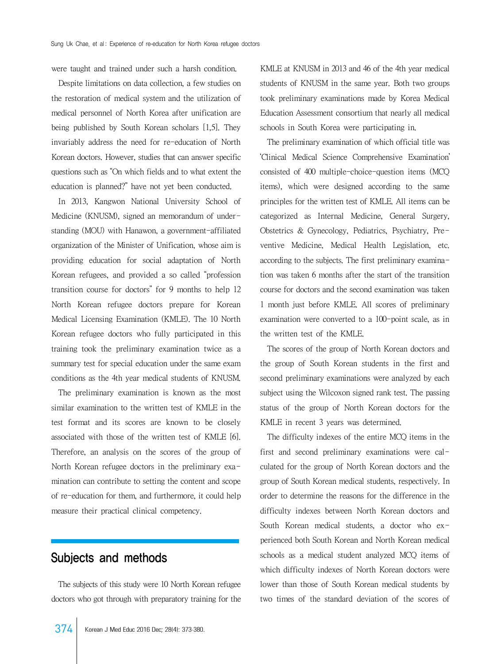were taught and trained under such a harsh condition.

 Despite limitations on data collection, a few studies on the restoration of medical system and the utilization of medical personnel of North Korea after unification are being published by South Korean scholars [1,5]. They invariably address the need for re-education of North Korean doctors. However, studies that can answer specific questions such as "On which fields and to what extent the education is planned?" have not yet been conducted.

 In 2013, Kangwon National University School of Medicine (KNUSM), signed an memorandum of understanding (MOU) with Hanawon, a government-affiliated organization of the Minister of Unification, whose aim is providing education for social adaptation of North Korean refugees, and provided a so called "profession transition course for doctors" for 9 months to help 12 North Korean refugee doctors prepare for Korean Medical Licensing Examination (KMLE). The 10 North Korean refugee doctors who fully participated in this training took the preliminary examination twice as a summary test for special education under the same exam conditions as the 4th year medical students of KNUSM.

 The preliminary examination is known as the most similar examination to the written test of KMLE in the test format and its scores are known to be closely associated with those of the written test of KMLE [6]. Therefore, an analysis on the scores of the group of North Korean refugee doctors in the preliminary examination can contribute to setting the content and scope of re-education for them, and furthermore, it could help measure their practical clinical competency.

### Subjects and methods

 The subjects of this study were 10 North Korean refugee doctors who got through with preparatory training for the

KMLE at KNUSM in 2013 and 46 of the 4th year medical students of KNUSM in the same year. Both two groups took preliminary examinations made by Korea Medical Education Assessment consortium that nearly all medical schools in South Korea were participating in.

 The preliminary examination of which official title was 'Clinical Medical Science Comprehensive Examination' consisted of 400 multiple-choice-question items (MCQ items), which were designed according to the same principles for the written test of KMLE. All items can be categorized as Internal Medicine, General Surgery, Obstetrics & Gynecology, Pediatrics, Psychiatry, Preventive Medicine, Medical Health Legislation, etc. according to the subjects. The first preliminary examination was taken 6 months after the start of the transition course for doctors and the second examination was taken 1 month just before KMLE. All scores of preliminary examination were converted to a 100-point scale, as in the written test of the KMLE.

 The scores of the group of North Korean doctors and the group of South Korean students in the first and second preliminary examinations were analyzed by each subject using the Wilcoxon signed rank test. The passing status of the group of North Korean doctors for the KMLE in recent 3 years was determined.

 The difficulty indexes of the entire MCQ items in the first and second preliminary examinations were calculated for the group of North Korean doctors and the group of South Korean medical students, respectively. In order to determine the reasons for the difference in the difficulty indexes between North Korean doctors and South Korean medical students, a doctor who experienced both South Korean and North Korean medical schools as a medical student analyzed MCQ items of which difficulty indexes of North Korean doctors were lower than those of South Korean medical students by two times of the standard deviation of the scores of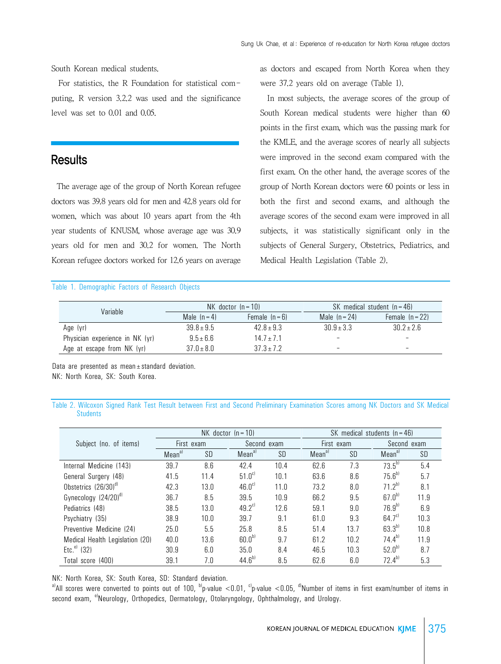South Korean medical students.

 For statistics, the R Foundation for statistical computing, R version 3.2.2 was used and the significance level was set to 0.01 and 0.05.

### **Results**

 The average age of the group of North Korean refugee doctors was 39.8 years old for men and 42.8 years old for women, which was about 10 years apart from the 4th year students of KNUSM, whose average age was 30.9 years old for men and 30.2 for women. The North Korean refugee doctors worked for 12.6 years on average

#### Table 1. Demographic Factors of Research Objects

as doctors and escaped from North Korea when they were 37.2 years old on average (Table 1).

 In most subjects, the average scores of the group of South Korean medical students were higher than 60 points in the first exam, which was the passing mark for the KMLE, and the average scores of nearly all subjects were improved in the second exam compared with the first exam. On the other hand, the average scores of the group of North Korean doctors were 60 points or less in both the first and second exams, and although the average scores of the second exam were improved in all subjects, it was statistically significant only in the subjects of General Surgery, Obstetrics, Pediatrics, and Medical Health Legislation (Table 2).

| Variable                        |                | $NK$ doctor $(n = 10)$ | SK medical student $(n = 46)$ |                   |  |
|---------------------------------|----------------|------------------------|-------------------------------|-------------------|--|
|                                 | Male $(n=4)$   | Female $(n-6)$         |                               | Female $(n = 22)$ |  |
| Age (yr)                        | $39.8 \pm 9.5$ | $42.8 \pm 9.3$         | $30.9 + 3.3$                  | $30.2 \pm 2.6$    |  |
| Physician experience in NK (yr) | $9.5 \pm 6.6$  | $14.7 + 7.1$           | $\overline{\phantom{a}}$      |                   |  |
| Age at escape from NK (yr)      | $37.0 \pm 8.0$ | $37.3 \pm 7.2$         | $\overline{\phantom{0}}$      | -                 |  |

Data are presented as mean±standard deviation. NK: North Korea, SK: South Korea.

Table 2. Wilcoxon Signed Rank Test Result between First and Second Preliminary Examination Scores among NK Doctors and SK Medical **Students** 

|                                  | $NK$ doctor $(n = 10)$ |      |                    | SK medical students $(n = 46)$ |                    |      |                    |      |
|----------------------------------|------------------------|------|--------------------|--------------------------------|--------------------|------|--------------------|------|
| Subject (no. of items)           | First exam             |      | Second exam        |                                | First exam         |      | Second exam        |      |
|                                  | Mean <sup>al</sup>     | SD   | Mean <sup>a)</sup> | SD                             | Mean <sup>a)</sup> | SD   | Mean <sup>a)</sup> | SD   |
| Internal Medicine (143)          | 39.7                   | 8.6  | 42.4               | 10.4                           | 62.6               | 7.3  | $73.5^{b1}$        | 5.4  |
| General Surgery (48)             | 41.5                   | 11.4 | 51.0 <sup>c</sup>  | 10.1                           | 63.6               | 8.6  | $75.6^{b}$         | 5.7  |
| Obstetrics (26/30) <sup>d)</sup> | 42.3                   | 13.0 | 46.0 <sup>c</sup>  | 11.0                           | 73.2               | 8.0  | $71.2^{b}$         | 8.1  |
| Gynecology (24/20) <sup>d)</sup> | 36.7                   | 8.5  | 39.5               | 10.9                           | 66.2               | 9.5  | $67.0^{b}$         | 11.9 |
| Pediatrics (48)                  | 38.5                   | 13.0 | $49.2^{\circ}$     | 12.6                           | 59.1               | 9.0  | $76.9^{b}$         | 6.9  |
| Psychiatry (35)                  | 38.9                   | 10.0 | 39.7               | 9.1                            | 61.0               | 9.3  | 64.7 <sup>c</sup>  | 10.3 |
| Preventive Medicine (24)         | 25.0                   | 5.5  | 25.8               | 8.5                            | 51.4               | 13.7 | $63.3^{b}$         | 10.8 |
| Medical Health Legislation (20)  | 40.0                   | 13.6 | 60.0 <sup>b</sup>  | 9.7                            | 61.2               | 10.2 | $74.4^{b}$         | 11.9 |
| Etc. <sup>e)</sup><br>(32)       | 30.9                   | 6.0  | 35.0               | 8.4                            | 46.5               | 10.3 | $52.0^{b}$         | 8.7  |
| Total score (400)                | 39.1                   | 7.0  | $44.6^{b}$         | 8.5                            | 62.6               | 6.0  | $72.4^{b}$         | 5.3  |

NK: North Korea, SK: South Korea, SD: Standard deviation.

<sup>a)</sup>All scores were converted to points out of 100, <sup>b</sup>)p-value <0.01, <sup>c</sup>)p-value <0.05, <sup>d</sup>)Number of items in first exam/number of items in second exam, <sup>e)</sup>Neurology, Orthopedics, Dermatology, Otolaryngology, Ophthalmology, and Urology,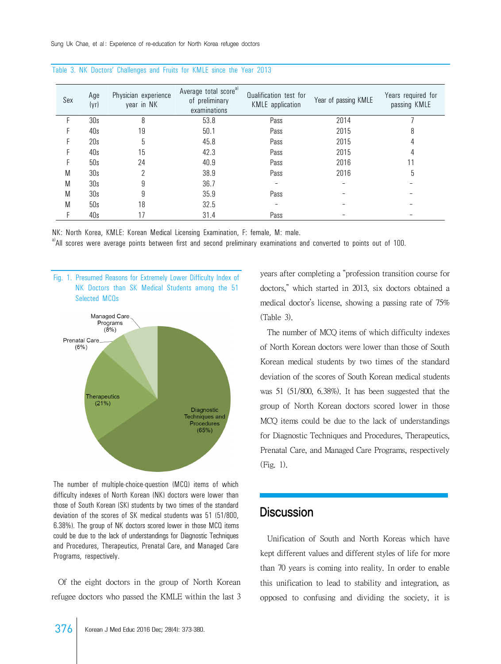| Sex | Age<br>(yr) | Physician experience<br>year in NK | Average total score <sup>al</sup><br>of preliminary<br>examinations | Qualification test for<br>KMLE application | Year of passing KMLE | Years required for<br>passing KMLE |
|-----|-------------|------------------------------------|---------------------------------------------------------------------|--------------------------------------------|----------------------|------------------------------------|
| F   | 30s         | 8                                  | 53.8                                                                | Pass                                       | 2014                 |                                    |
|     | 40s         | 19                                 | 50.1                                                                | Pass                                       | 2015                 | 8                                  |
|     | 20s         | 5                                  | 45.8                                                                | Pass                                       | 2015                 | 4                                  |
|     | 40s         | 15                                 | 42.3                                                                | Pass                                       | 2015                 | 4                                  |
|     | 50s         | 24                                 | 40.9                                                                | Pass                                       | 2016                 |                                    |
| M   | 30s         |                                    | 38.9                                                                | Pass                                       | 2016                 | 5                                  |
| M   | 30s         | 9                                  | 36.7                                                                |                                            |                      |                                    |
| M   | 30s         |                                    | 35.9                                                                | Pass                                       |                      |                                    |
| M   | 50s         | 18                                 | 32.5                                                                |                                            |                      |                                    |
|     | 40s         | 17                                 | 31.4                                                                | Pass                                       |                      |                                    |

Table 3. NK Doctors' Challenges and Fruits for KMLE since the Year 2013

NK: North Korea, KMLE: Korean Medical Licensing Examination, F: female, M: male.

a)All scores were average points between first and second preliminary examinations and converted to points out of 100.



The number of multiple-choice-question (MCQ) items of which difficulty indexes of North Korean (NK) doctors were lower than those of South Korean (SK) students by two times of the standard deviation of the scores of SK medical students was 51 (51/800, 6.38%). The group of NK doctors scored lower in those MCQ items could be due to the lack of understandings for Diagnostic Techniques and Procedures, Therapeutics, Prenatal Care, and Managed Care Programs, respectively.

 Of the eight doctors in the group of North Korean refugee doctors who passed the KMLE within the last 3 years after completing a "profession transition course for doctors," which started in 2013, six doctors obtained a medical doctor's license, showing a passing rate of 75% (Table 3).

 The number of MCQ items of which difficulty indexes of North Korean doctors were lower than those of South Korean medical students by two times of the standard deviation of the scores of South Korean medical students was 51 (51/800, 6.38%). It has been suggested that the group of North Korean doctors scored lower in those MCQ items could be due to the lack of understandings for Diagnostic Techniques and Procedures, Therapeutics, Prenatal Care, and Managed Care Programs, respectively (Fig. 1).

#### **Discussion**

 Unification of South and North Koreas which have kept different values and different styles of life for more than 70 years is coming into reality. In order to enable this unification to lead to stability and integration, as opposed to confusing and dividing the society, it is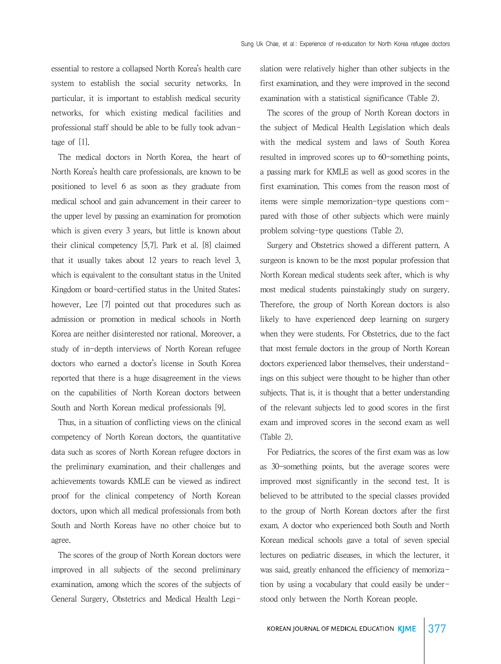essential to restore a collapsed North Korea's health care system to establish the social security networks. In particular, it is important to establish medical security networks, for which existing medical facilities and professional staff should be able to be fully took advantage of [1].

 The medical doctors in North Korea, the heart of North Korea's health care professionals, are known to be positioned to level 6 as soon as they graduate from medical school and gain advancement in their career to the upper level by passing an examination for promotion which is given every 3 years, but little is known about their clinical competency [5,7]. Park et al. [8] claimed that it usually takes about 12 years to reach level 3, which is equivalent to the consultant status in the United Kingdom or board-certified status in the United States; however, Lee [7] pointed out that procedures such as admission or promotion in medical schools in North Korea are neither disinterested nor rational. Moreover, a study of in-depth interviews of North Korean refugee doctors who earned a doctor's license in South Korea reported that there is a huge disagreement in the views on the capabilities of North Korean doctors between South and North Korean medical professionals [9].

 Thus, in a situation of conflicting views on the clinical competency of North Korean doctors, the quantitative data such as scores of North Korean refugee doctors in the preliminary examination, and their challenges and achievements towards KMLE can be viewed as indirect proof for the clinical competency of North Korean doctors, upon which all medical professionals from both South and North Koreas have no other choice but to agree.

 The scores of the group of North Korean doctors were improved in all subjects of the second preliminary examination, among which the scores of the subjects of General Surgery, Obstetrics and Medical Health Legislation were relatively higher than other subjects in the first examination, and they were improved in the second examination with a statistical significance (Table 2).

 The scores of the group of North Korean doctors in the subject of Medical Health Legislation which deals with the medical system and laws of South Korea resulted in improved scores up to 60-something points, a passing mark for KMLE as well as good scores in the first examination. This comes from the reason most of items were simple memorization-type questions compared with those of other subjects which were mainly problem solving-type questions (Table 2).

 Surgery and Obstetrics showed a different pattern. A surgeon is known to be the most popular profession that North Korean medical students seek after, which is why most medical students painstakingly study on surgery. Therefore, the group of North Korean doctors is also likely to have experienced deep learning on surgery when they were students. For Obstetrics, due to the fact that most female doctors in the group of North Korean doctors experienced labor themselves, their understandings on this subject were thought to be higher than other subjects. That is, it is thought that a better understanding of the relevant subjects led to good scores in the first exam and improved scores in the second exam as well (Table 2).

 For Pediatrics, the scores of the first exam was as low as 30-something points, but the average scores were improved most significantly in the second test. It is believed to be attributed to the special classes provided to the group of North Korean doctors after the first exam. A doctor who experienced both South and North Korean medical schools gave a total of seven special lectures on pediatric diseases, in which the lecturer, it was said, greatly enhanced the efficiency of memorization by using a vocabulary that could easily be understood only between the North Korean people.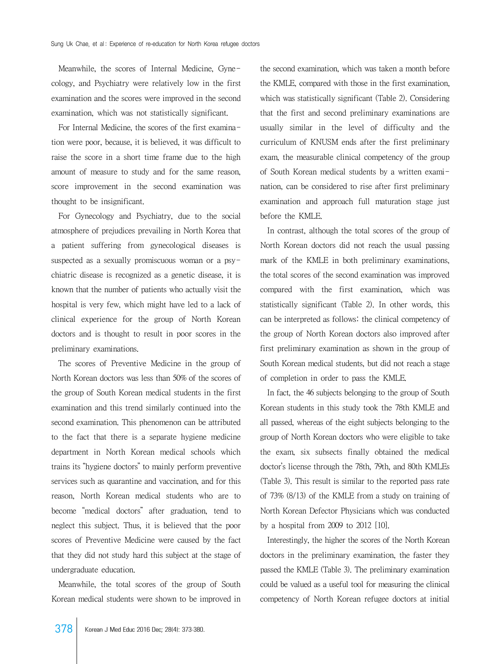Meanwhile, the scores of Internal Medicine, Gynecology, and Psychiatry were relatively low in the first examination and the scores were improved in the second examination, which was not statistically significant.

 For Internal Medicine, the scores of the first examination were poor, because, it is believed, it was difficult to raise the score in a short time frame due to the high amount of measure to study and for the same reason, score improvement in the second examination was thought to be insignificant.

 For Gynecology and Psychiatry, due to the social atmosphere of prejudices prevailing in North Korea that a patient suffering from gynecological diseases is suspected as a sexually promiscuous woman or a psychiatric disease is recognized as a genetic disease, it is known that the number of patients who actually visit the hospital is very few, which might have led to a lack of clinical experience for the group of North Korean doctors and is thought to result in poor scores in the preliminary examinations.

 The scores of Preventive Medicine in the group of North Korean doctors was less than 50% of the scores of the group of South Korean medical students in the first examination and this trend similarly continued into the second examination. This phenomenon can be attributed to the fact that there is a separate hygiene medicine department in North Korean medical schools which trains its "hygiene doctors" to mainly perform preventive services such as quarantine and vaccination, and for this reason, North Korean medical students who are to become "medical doctors" after graduation, tend to neglect this subject. Thus, it is believed that the poor scores of Preventive Medicine were caused by the fact that they did not study hard this subject at the stage of undergraduate education.

 Meanwhile, the total scores of the group of South Korean medical students were shown to be improved in

the second examination, which was taken a month before the KMLE, compared with those in the first examination, which was statistically significant (Table 2). Considering that the first and second preliminary examinations are usually similar in the level of difficulty and the curriculum of KNUSM ends after the first preliminary exam, the measurable clinical competency of the group of South Korean medical students by a written examination, can be considered to rise after first preliminary examination and approach full maturation stage just before the KMLE.

 In contrast, although the total scores of the group of North Korean doctors did not reach the usual passing mark of the KMLE in both preliminary examinations, the total scores of the second examination was improved compared with the first examination, which was statistically significant (Table 2). In other words, this can be interpreted as follows: the clinical competency of the group of North Korean doctors also improved after first preliminary examination as shown in the group of South Korean medical students, but did not reach a stage of completion in order to pass the KMLE.

 In fact, the 46 subjects belonging to the group of South Korean students in this study took the 78th KMLE and all passed, whereas of the eight subjects belonging to the group of North Korean doctors who were eligible to take the exam, six subsects finally obtained the medical doctor's license through the 78th, 79th, and 80th KMLEs (Table 3). This result is similar to the reported pass rate of 73% (8/13) of the KMLE from a study on training of North Korean Defector Physicians which was conducted by a hospital from 2009 to 2012 [10].

 Interestingly, the higher the scores of the North Korean doctors in the preliminary examination, the faster they passed the KMLE (Table 3). The preliminary examination could be valued as a useful tool for measuring the clinical competency of North Korean refugee doctors at initial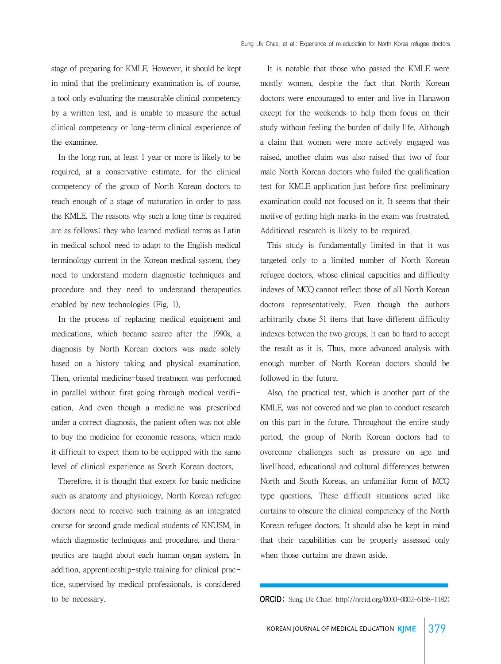stage of preparing for KMLE. However, it should be kept in mind that the preliminary examination is, of course, a tool only evaluating the measurable clinical competency by a written test, and is unable to measure the actual clinical competency or long-term clinical experience of the examinee.

 In the long run, at least 1 year or more is likely to be required, at a conservative estimate, for the clinical competency of the group of North Korean doctors to reach enough of a stage of maturation in order to pass the KMLE. The reasons why such a long time is required are as follows: they who learned medical terms as Latin in medical school need to adapt to the English medical terminology current in the Korean medical system, they need to understand modern diagnostic techniques and procedure and they need to understand therapeutics enabled by new technologies (Fig. 1).

 In the process of replacing medical equipment and medications, which became scarce after the 1990s, a diagnosis by North Korean doctors was made solely based on a history taking and physical examination. Then, oriental medicine-based treatment was performed in parallel without first going through medical verification. And even though a medicine was prescribed under a correct diagnosis, the patient often was not able to buy the medicine for economic reasons, which made it difficult to expect them to be equipped with the same level of clinical experience as South Korean doctors.

 Therefore, it is thought that except for basic medicine such as anatomy and physiology, North Korean refugee doctors need to receive such training as an integrated course for second grade medical students of KNUSM, in which diagnostic techniques and procedure, and therapeutics are taught about each human organ system. In addition, apprenticeship-style training for clinical practice, supervised by medical professionals, is considered to be necessary.

 It is notable that those who passed the KMLE were mostly women, despite the fact that North Korean doctors were encouraged to enter and live in Hanawon except for the weekends to help them focus on their study without feeling the burden of daily life. Although a claim that women were more actively engaged was raised, another claim was also raised that two of four male North Korean doctors who failed the qualification test for KMLE application just before first preliminary examination could not focused on it. It seems that their motive of getting high marks in the exam was frustrated. Additional research is likely to be required.

 This study is fundamentally limited in that it was targeted only to a limited number of North Korean refugee doctors, whose clinical capacities and difficulty indexes of MCQ cannot reflect those of all North Korean doctors representatively. Even though the authors arbitrarily chose 51 items that have different difficulty indexes between the two groups, it can be hard to accept the result as it is. Thus, more advanced analysis with enough number of North Korean doctors should be followed in the future.

 Also, the practical test, which is another part of the KMLE, was not covered and we plan to conduct research on this part in the future. Throughout the entire study period, the group of North Korean doctors had to overcome challenges such as pressure on age and livelihood, educational and cultural differences between North and South Koreas, an unfamiliar form of MCQ type questions. These difficult situations acted like curtains to obscure the clinical competency of the North Korean refugee doctors. It should also be kept in mind that their capabilities can be properly assessed only when those curtains are drawn aside.

ORCID: Sung Uk Chae: http://orcid.org/0000-0002-6158-1182;